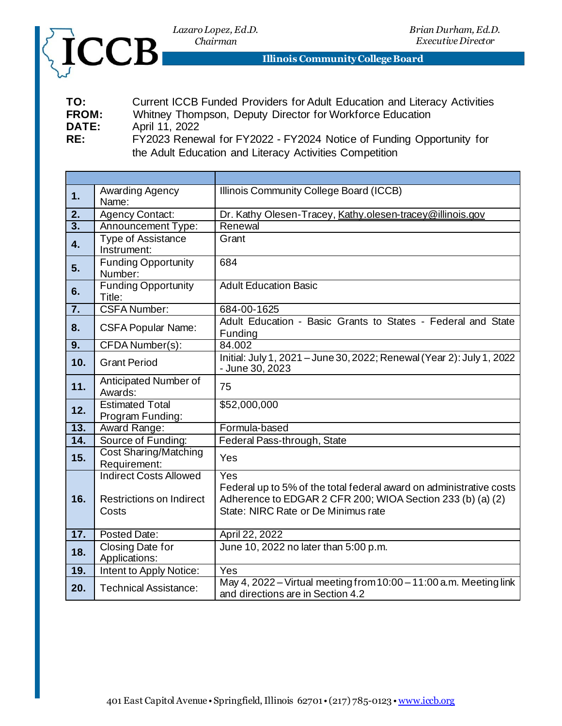



**Illinois Community College Board**

| TO:                          | Current ICCB Funded Providers for Adult Education and Literacy Activities   |
|------------------------------|-----------------------------------------------------------------------------|
| <b>FROM:</b><br><b>DATE:</b> | Whitney Thompson, Deputy Director for Workforce Education<br>April 11, 2022 |
| RE:                          | FY2023 Renewal for FY2022 - FY2024 Notice of Funding Opportunity for        |

the Adult Education and Literacy Activities Competition

| 1.               | Awarding Agency<br>Name:                                                  | Illinois Community College Board (ICCB)                                                                                                                                         |
|------------------|---------------------------------------------------------------------------|---------------------------------------------------------------------------------------------------------------------------------------------------------------------------------|
| 2.               | <b>Agency Contact:</b>                                                    | Dr. Kathy Olesen-Tracey, Kathy.olesen-tracey@illinois.gov                                                                                                                       |
| $\overline{3}$ . | Announcement Type:                                                        | Renewal                                                                                                                                                                         |
| 4.               | <b>Type of Assistance</b><br>Instrument:                                  | Grant                                                                                                                                                                           |
| 5.               | <b>Funding Opportunity</b><br>Number:                                     | 684                                                                                                                                                                             |
| 6.               | <b>Funding Opportunity</b><br>Title:                                      | <b>Adult Education Basic</b>                                                                                                                                                    |
| 7.               | <b>CSFA Number:</b>                                                       | 684-00-1625                                                                                                                                                                     |
| 8.               | <b>CSFA Popular Name:</b>                                                 | Adult Education - Basic Grants to States - Federal and State<br>Funding                                                                                                         |
| $\overline{9}$ . | CFDA Number(s):                                                           | 84.002                                                                                                                                                                          |
| 10.              | <b>Grant Period</b>                                                       | Initial: July 1, 2021 - June 30, 2022; Renewal (Year 2): July 1, 2022<br>- June 30, 2023                                                                                        |
| 11.              | Anticipated Number of<br>Awards:                                          | 75                                                                                                                                                                              |
| 12.              | <b>Estimated Total</b><br>Program Funding:                                | \$52,000,000                                                                                                                                                                    |
| 13.              | Award Range:                                                              | Formula-based                                                                                                                                                                   |
| 14.              | Source of Funding:                                                        | Federal Pass-through, State                                                                                                                                                     |
| 15.              | <b>Cost Sharing/Matching</b><br>Requirement:                              | Yes                                                                                                                                                                             |
| 16.              | <b>Indirect Costs Allowed</b><br><b>Restrictions on Indirect</b><br>Costs | Yes<br>Federal up to 5% of the total federal award on administrative costs<br>Adherence to EDGAR 2 CFR 200; WIOA Section 233 (b) (a) (2)<br>State: NIRC Rate or De Minimus rate |
| 17.              | Posted Date:                                                              | April 22, 2022                                                                                                                                                                  |
| 18.              | Closing Date for<br>Applications:                                         | June 10, 2022 no later than 5:00 p.m.                                                                                                                                           |
| 19.              | Intent to Apply Notice:                                                   | Yes                                                                                                                                                                             |
| 20.              | Technical Assistance:                                                     | May 4, 2022 – Virtual meeting from 10:00 – 11:00 a.m. Meeting link<br>and directions are in Section 4.2                                                                         |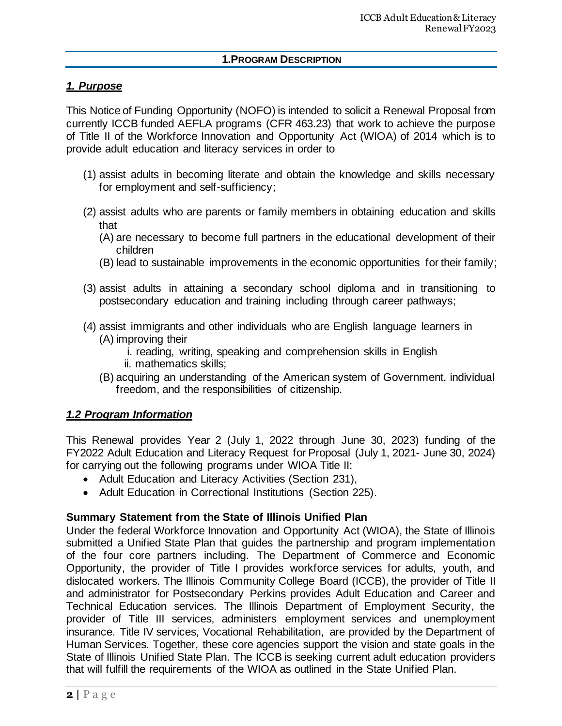#### **1.PROGRAM DESCRIPTION**

# *1. Purpose*

This Notice of Funding Opportunity (NOFO) is intended to solicit a Renewal Proposal from currently ICCB funded AEFLA programs (CFR 463.23) that work to achieve the purpose of Title II of the Workforce Innovation and Opportunity Act (WIOA) of 2014 which is to provide adult education and literacy services in order to

- (1) assist adults in becoming literate and obtain the knowledge and skills necessary for employment and self-sufficiency;
- (2) assist adults who are parents or family members in obtaining education and skills that
	- (A) are necessary to become full partners in the educational development of their children
	- (B) lead to sustainable improvements in the economic opportunities for their family;
- (3) assist adults in attaining a secondary school diploma and in transitioning to postsecondary education and training including through career pathways;
- (4) assist immigrants and other individuals who are English language learners in (A) improving their
	- i. reading, writing, speaking and comprehension skills in English ii. mathematics skills;
	- (B) acquiring an understanding of the American system of Government, individual freedom, and the responsibilities of citizenship.

### *1.2 Program Information*

This Renewal provides Year 2 (July 1, 2022 through June 30, 2023) funding of the FY2022 Adult Education and Literacy Request for Proposal (July 1, 2021- June 30, 2024) for carrying out the following programs under WIOA Title II:

- Adult Education and Literacy Activities (Section 231),
- Adult Education in Correctional Institutions (Section 225).

#### **Summary Statement from the State of Illinois Unified Plan**

Under the federal Workforce Innovation and Opportunity Act (WIOA), the State of Illinois submitted a Unified State Plan that guides the partnership and program implementation of the four core partners including. The Department of Commerce and Economic Opportunity, the provider of Title I provides workforce services for adults, youth, and dislocated workers. The Illinois Community College Board (ICCB), the provider of Title II and administrator for Postsecondary Perkins provides Adult Education and Career and Technical Education services. The Illinois Department of Employment Security, the provider of Title III services, administers employment services and unemployment insurance. Title IV services, Vocational Rehabilitation, are provided by the Department of Human Services. Together, these core agencies support the vision and state goals in the State of Illinois Unified State Plan. The ICCB is seeking current adult education providers that will fulfill the requirements of the WIOA as outlined in the State Unified Plan.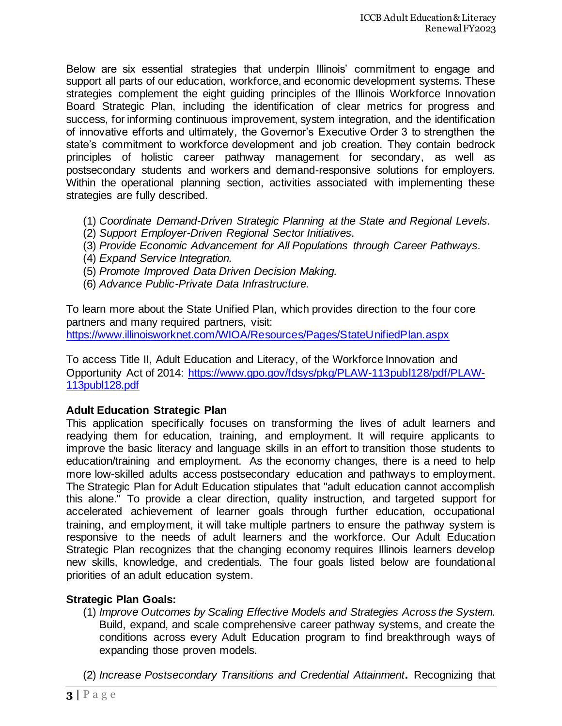Below are six essential strategies that underpin Illinois' commitment to engage and support all parts of our education, workforce, and economic development systems. These strategies complement the eight guiding principles of the Illinois Workforce Innovation Board Strategic Plan, including the identification of clear metrics for progress and success, for informing continuous improvement, system integration, and the identification of innovative efforts and ultimately, the Governor's Executive Order 3 to strengthen the state's commitment to workforce development and job creation. They contain bedrock principles of holistic career pathway management for secondary, as well as postsecondary students and workers and demand-responsive solutions for employers. Within the operational planning section, activities associated with implementing these strategies are fully described.

- (1) *Coordinate Demand-Driven Strategic Planning at the State and Regional Levels.*
- (2) *Support Employer-Driven Regional Sector Initiatives.*
- (3) *Provide Economic Advancement for All Populations through Career Pathways.*
- (4) *Expand Service Integration.*
- (5) *Promote Improved Data Driven Decision Making.*
- (6) *Advance Public-Private Data Infrastructure.*

To learn more about the State Unified Plan, which provides direction to the four core partners and many required partners, visit: <https://www.illinoisworknet.com/WIOA/Resources/Pages/StateUnifiedPlan.aspx>

To access Title II, Adult Education and Literacy, of the Workforce Innovation and Opportunity Act of 2014: [https://www.gpo.gov/fdsys/pkg/PLAW-113publ128/pdf/PLAW-](https://www.gpo.gov/fdsys/pkg/PLAW-113publ128/pdf/PLAW-113publ128.pdf)[113publ128.pdf](https://www.gpo.gov/fdsys/pkg/PLAW-113publ128/pdf/PLAW-113publ128.pdf)

### **Adult Education Strategic Plan**

This application specifically focuses on transforming the lives of adult learners and readying them for education, training, and employment. It will require applicants to improve the basic literacy and language skills in an effort to transition those students to education/training and employment. As the economy changes, there is a need to help more low-skilled adults access postsecondary education and pathways to employment. The Strategic Plan for Adult Education stipulates that "adult education cannot accomplish this alone." To provide a clear direction, quality instruction, and targeted support for accelerated achievement of learner goals through further education, occupational training, and employment, it will take multiple partners to ensure the pathway system is responsive to the needs of adult learners and the workforce. Our Adult Education Strategic Plan recognizes that the changing economy requires Illinois learners develop new skills, knowledge, and credentials. The four goals listed below are foundational priorities of an adult education system.

### **Strategic Plan Goals:**

(1) *Improve Outcomes by Scaling Effective Models and Strategies Across the System.*  Build, expand, and scale comprehensive career pathway systems, and create the conditions across every Adult Education program to find breakthrough ways of expanding those proven models.

(2) *Increase Postsecondary Transitions and Credential Attainment***.** Recognizing that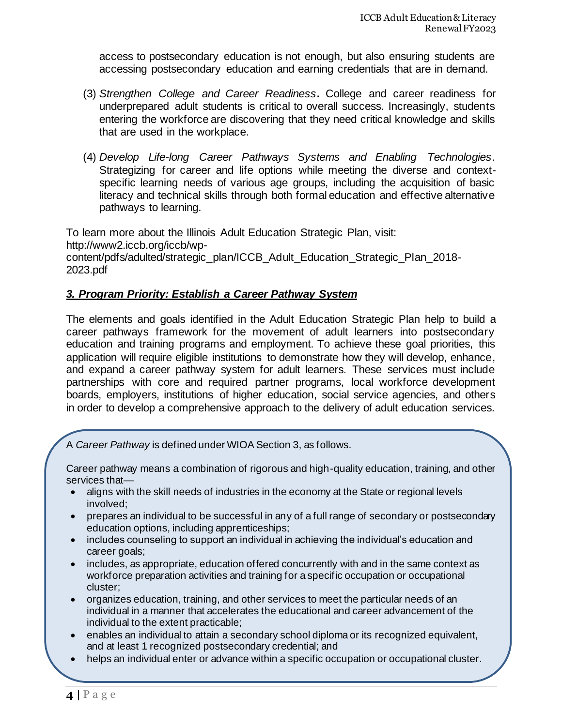access to postsecondary education is not enough, but also ensuring students are accessing postsecondary education and earning credentials that are in demand.

- (3) *Strengthen College and Career Readiness***.** College and career readiness for underprepared adult students is critical to overall success. Increasingly, students entering the workforce are discovering that they need critical knowledge and skills that are used in the workplace.
- (4) *Develop Life-long Career Pathways Systems and Enabling Technologies.* Strategizing for career and life options while meeting the diverse and contextspecific learning needs of various age groups, including the acquisition of basic literacy and technical skills through both formal education and effective alternative pathways to learning.

To learn more about the Illinois Adult Education Strategic Plan, visit: http://www2.iccb.org/iccb/wpcontent/pdfs/adulted/strategic\_plan/ICCB\_Adult\_Education\_Strategic\_Plan\_2018- 2023.pdf

## *3. Program Priority: Establish a Career Pathway System*

The elements and goals identified in the Adult Education Strategic Plan help to build a career pathways framework for the movement of adult learners into postsecondary education and training programs and employment. To achieve these goal priorities, this application will require eligible institutions to demonstrate how they will develop, enhance, and expand a career pathway system for adult learners. These services must include partnerships with core and required partner programs, local workforce development boards, employers, institutions of higher education, social service agencies, and others in order to develop a comprehensive approach to the delivery of adult education services.

A *Career Pathway* is defined under WIOA Section 3, as follows.

Career pathway means a combination of rigorous and high-quality education, training, and other services that—

- aligns with the skill needs of industries in the economy at the State or regional levels involved;
- prepares an individual to be successful in any of a full range of secondary or postsecondary education options, including apprenticeships;
- includes counseling to support an individual in achieving the individual's education and career goals;
- includes, as appropriate, education offered concurrently with and in the same context as workforce preparation activities and training for a specific occupation or occupational cluster;
- organizes education, training, and other services to meet the particular needs of an individual in a manner that accelerates the educational and career advancement of the individual to the extent practicable;
- enables an individual to attain a secondary school diploma or its recognized equivalent, and at least 1 recognized postsecondary credential; and
- helps an individual enter or advance within a specific occupation or occupational cluster.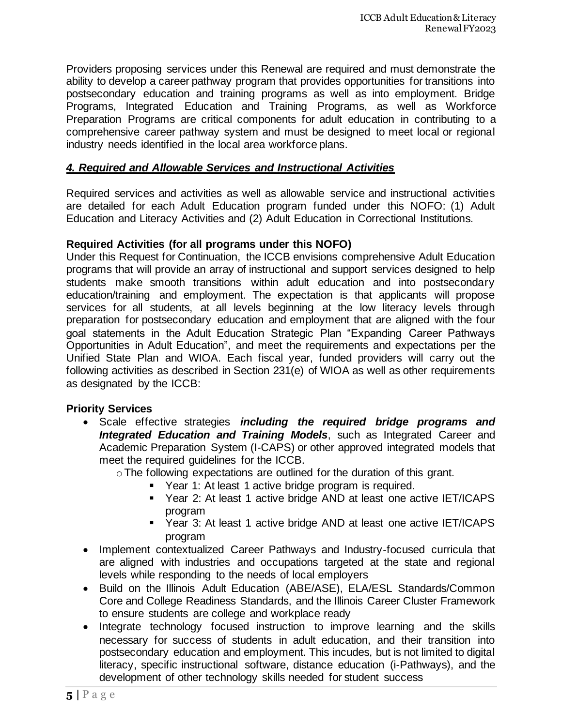Providers proposing services under this Renewal are required and must demonstrate the ability to develop a career pathway program that provides opportunities for transitions into postsecondary education and training programs as well as into employment. Bridge Programs, Integrated Education and Training Programs, as well as Workforce Preparation Programs are critical components for adult education in contributing to a comprehensive career pathway system and must be designed to meet local or regional industry needs identified in the local area workforce plans.

## *4. Required and Allowable Services and Instructional Activities*

Required services and activities as well as allowable service and instructional activities are detailed for each Adult Education program funded under this NOFO: (1) Adult Education and Literacy Activities and (2) Adult Education in Correctional Institutions.

### **Required Activities (for all programs under this NOFO)**

Under this Request for Continuation, the ICCB envisions comprehensive Adult Education programs that will provide an array of instructional and support services designed to help students make smooth transitions within adult education and into postsecondary education/training and employment. The expectation is that applicants will propose services for all students, at all levels beginning at the low literacy levels through preparation for postsecondary education and employment that are aligned with the four goal statements in the Adult Education Strategic Plan "Expanding Career Pathways Opportunities in Adult Education", and meet the requirements and expectations per the Unified State Plan and WIOA. Each fiscal year, funded providers will carry out the following activities as described in Section 231(e) of WIOA as well as other requirements as designated by the ICCB:

### **Priority Services**

• Scale effective strategies *including the required bridge programs and Integrated Education and Training Models*, such as Integrated Career and Academic Preparation System (I-CAPS) or other approved integrated models that meet the required guidelines for the ICCB.

oThe following expectations are outlined for the duration of this grant.

- Year 1: At least 1 active bridge program is required.
- Year 2: At least 1 active bridge AND at least one active IET/ICAPS program
- Year 3: At least 1 active bridge AND at least one active IET/ICAPS program
- Implement contextualized Career Pathways and Industry-focused curricula that are aligned with industries and occupations targeted at the state and regional levels while responding to the needs of local employers
- Build on the Illinois Adult Education (ABE/ASE), ELA/ESL Standards/Common Core and College Readiness Standards, and the Illinois Career Cluster Framework to ensure students are college and workplace ready
- Integrate technology focused instruction to improve learning and the skills necessary for success of students in adult education, and their transition into postsecondary education and employment. This incudes, but is not limited to digital literacy, specific instructional software, distance education (i-Pathways), and the development of other technology skills needed for student success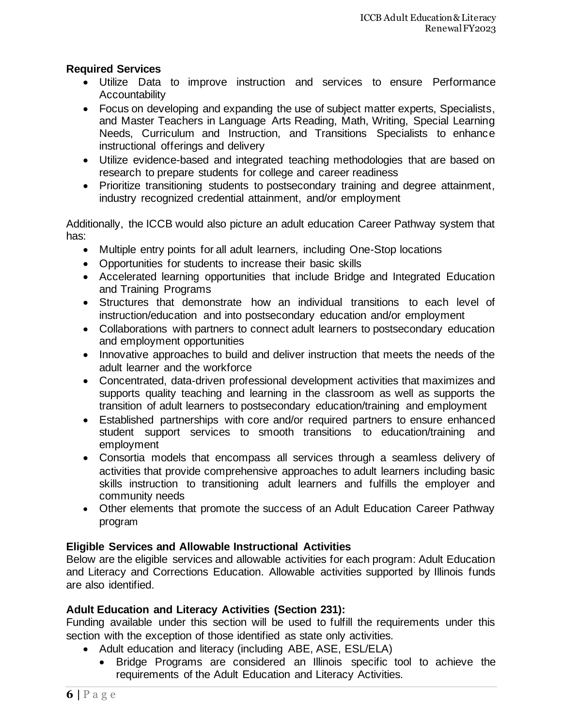## **Required Services**

- Utilize Data to improve instruction and services to ensure Performance **Accountability**
- Focus on developing and expanding the use of subject matter experts, Specialists, and Master Teachers in Language Arts Reading, Math, Writing, Special Learning Needs, Curriculum and Instruction, and Transitions Specialists to enhance instructional offerings and delivery
- Utilize evidence-based and integrated teaching methodologies that are based on research to prepare students for college and career readiness
- Prioritize transitioning students to postsecondary training and degree attainment, industry recognized credential attainment, and/or employment

Additionally, the ICCB would also picture an adult education Career Pathway system that has:

- Multiple entry points for all adult learners, including One-Stop locations
- Opportunities for students to increase their basic skills
- Accelerated learning opportunities that include Bridge and Integrated Education and Training Programs
- Structures that demonstrate how an individual transitions to each level of instruction/education and into postsecondary education and/or employment
- Collaborations with partners to connect adult learners to postsecondary education and employment opportunities
- Innovative approaches to build and deliver instruction that meets the needs of the adult learner and the workforce
- Concentrated, data-driven professional development activities that maximizes and supports quality teaching and learning in the classroom as well as supports the transition of adult learners to postsecondary education/training and employment
- Established partnerships with core and/or required partners to ensure enhanced student support services to smooth transitions to education/training and employment
- Consortia models that encompass all services through a seamless delivery of activities that provide comprehensive approaches to adult learners including basic skills instruction to transitioning adult learners and fulfills the employer and community needs
- Other elements that promote the success of an Adult Education Career Pathway program

# **Eligible Services and Allowable Instructional Activities**

Below are the eligible services and allowable activities for each program: Adult Education and Literacy and Corrections Education. Allowable activities supported by Illinois funds are also identified.

# **Adult Education and Literacy Activities (Section 231):**

Funding available under this section will be used to fulfill the requirements under this section with the exception of those identified as state only activities.

- Adult education and literacy (including ABE, ASE, ESL/ELA)
	- Bridge Programs are considered an Illinois specific tool to achieve the requirements of the Adult Education and Literacy Activities.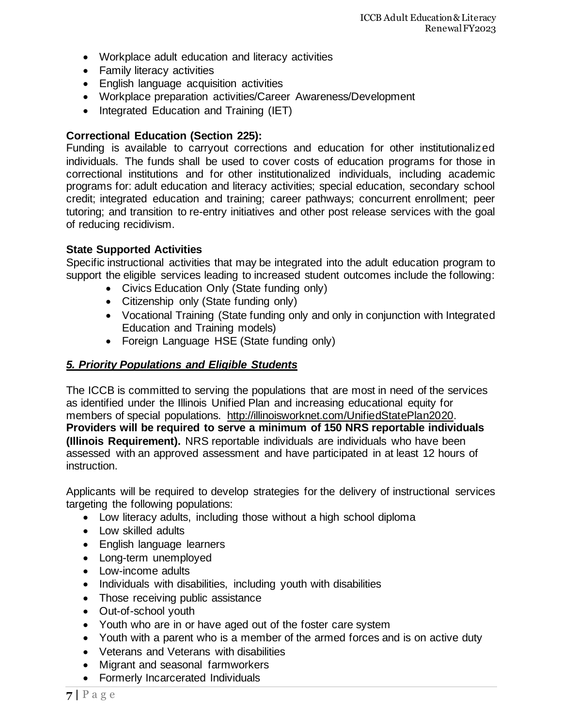- Workplace adult education and literacy activities
- Family literacy activities
- English language acquisition activities
- Workplace preparation activities/Career Awareness/Development
- Integrated Education and Training (IET)

### **Correctional Education (Section 225):**

Funding is available to carryout corrections and education for other institutionalized individuals. The funds shall be used to cover costs of education programs for those in correctional institutions and for other institutionalized individuals, including academic programs for: adult education and literacy activities; special education, secondary school credit; integrated education and training; career pathways; concurrent enrollment; peer tutoring; and transition to re-entry initiatives and other post release services with the goal of reducing recidivism.

### **State Supported Activities**

Specific instructional activities that may be integrated into the adult education program to support the eligible services leading to increased student outcomes include the following:

- Civics Education Only (State funding only)
- Citizenship only (State funding only)
- Vocational Training (State funding only and only in conjunction with Integrated Education and Training models)
- Foreign Language HSE (State funding only)

### *5. Priority Populations and Eligible Students*

The ICCB is committed to serving the populations that are most in need of the services as identified under the Illinois Unified Plan and increasing educational equity for members of special populations. [http://illinoisworknet.com/UnifiedStatePlan2020.](http://illinoisworknet.com/UnifiedStatePlan2020)  **Providers will be required to serve a minimum of 150 NRS reportable individuals (Illinois Requirement).** NRS reportable individuals are individuals who have been assessed with an approved assessment and have participated in at least 12 hours of instruction.

Applicants will be required to develop strategies for the delivery of instructional services targeting the following populations:

- Low literacy adults, including those without a high school diploma
- Low skilled adults
- English language learners
- Long-term unemployed
- Low-income adults
- Individuals with disabilities, including youth with disabilities
- Those receiving public assistance
- Out-of-school youth
- Youth who are in or have aged out of the foster care system
- Youth with a parent who is a member of the armed forces and is on active duty
- Veterans and Veterans with disabilities
- Migrant and seasonal farmworkers
- Formerly Incarcerated Individuals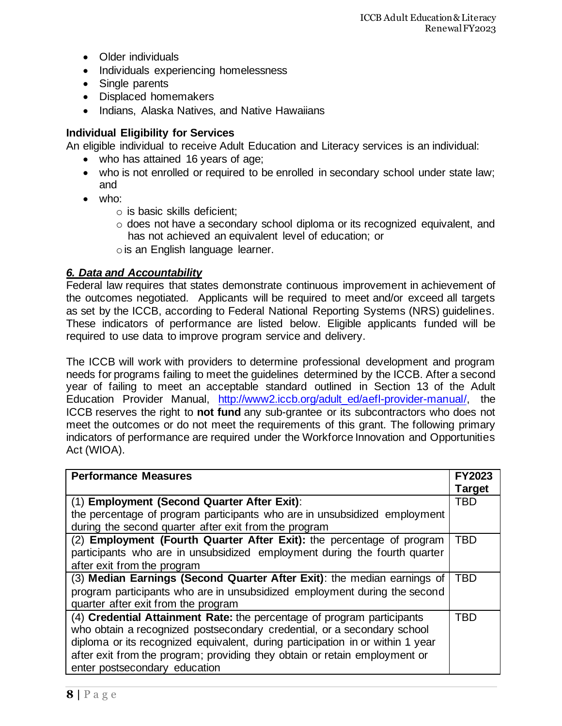- Older individuals
- Individuals experiencing homelessness
- Single parents
- Displaced homemakers
- Indians, Alaska Natives, and Native Hawaiians

## **Individual Eligibility for Services**

An eligible individual to receive Adult Education and Literacy services is an individual:

- who has attained 16 years of age;
- who is not enrolled or required to be enrolled in secondary school under state law; and
- who:
	- o is basic skills deficient;
	- o does not have a secondary school diploma or its recognized equivalent, and has not achieved an equivalent level of education; or ois an English language learner.

## *6. Data and Accountability*

Federal law requires that states demonstrate continuous improvement in achievement of the outcomes negotiated. Applicants will be required to meet and/or exceed all targets as set by the ICCB, according to Federal National Reporting Systems (NRS) guidelines. These indicators of performance are listed below. Eligible applicants funded will be required to use data to improve program service and delivery.

The ICCB will work with providers to determine professional development and program needs for programs failing to meet the guidelines determined by the ICCB. After a second year of failing to meet an acceptable standard outlined in Section 13 of the Adult Education Provider Manual, [http://www2.iccb.org/adult\\_ed/aefl-provider-manual/,](http://www2.iccb.org/adult_ed/aefl-provider-manual/) the ICCB reserves the right to **not fund** any sub-grantee or its subcontractors who does not meet the outcomes or do not meet the requirements of this grant. The following primary indicators of performance are required under the Workforce Innovation and Opportunities Act (WIOA).

| <b>Performance Measures</b>                                                    | <b>FY2023</b> |  |
|--------------------------------------------------------------------------------|---------------|--|
|                                                                                | <b>Target</b> |  |
| (1) Employment (Second Quarter After Exit):                                    | TBD           |  |
| the percentage of program participants who are in unsubsidized employment      |               |  |
| during the second quarter after exit from the program                          |               |  |
| (2) Employment (Fourth Quarter After Exit): the percentage of program          | TBD           |  |
| participants who are in unsubsidized employment during the fourth quarter      |               |  |
| after exit from the program                                                    |               |  |
| (3) Median Earnings (Second Quarter After Exit): the median earnings of        | TBD           |  |
| program participants who are in unsubsidized employment during the second      |               |  |
| quarter after exit from the program                                            |               |  |
| (4) Credential Attainment Rate: the percentage of program participants         | <b>TBD</b>    |  |
| who obtain a recognized postsecondary credential, or a secondary school        |               |  |
| diploma or its recognized equivalent, during participation in or within 1 year |               |  |
| after exit from the program; providing they obtain or retain employment or     |               |  |
| enter postsecondary education                                                  |               |  |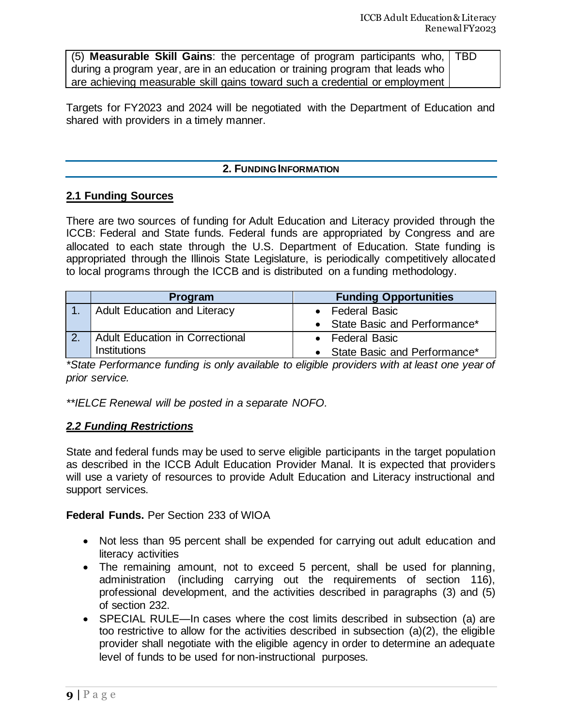| (5) Measurable Skill Gains: the percentage of program participants who,   TBD |  |
|-------------------------------------------------------------------------------|--|
| during a program year, are in an education or training program that leads who |  |
| are achieving measurable skill gains toward such a credential or employment   |  |

Targets for FY2023 and 2024 will be negotiated with the Department of Education and shared with providers in a timely manner.

#### **2. FUNDING INFORMATION**

#### **2.1 Funding Sources**

There are two sources of funding for Adult Education and Literacy provided through the ICCB: Federal and State funds. Federal funds are appropriated by Congress and are allocated to each state through the U.S. Department of Education. State funding is appropriated through the Illinois State Legislature, is periodically competitively allocated to local programs through the ICCB and is distributed on a funding methodology.

|                  | <b>Program</b>                  | <b>Funding Opportunities</b>   |
|------------------|---------------------------------|--------------------------------|
|                  | Adult Education and Literacy    | • Federal Basic                |
|                  |                                 | • State Basic and Performance* |
| $\overline{2}$ . | Adult Education in Correctional | • Federal Basic                |
|                  | <b>Institutions</b>             | • State Basic and Performance* |

*\*State Performance funding is only available to eligible providers with at least one year of prior service.* 

*\*\*IELCE Renewal will be posted in a separate NOFO.*

### *2.2 Funding Restrictions*

State and federal funds may be used to serve eligible participants in the target population as described in the ICCB Adult Education Provider Manal. It is expected that providers will use a variety of resources to provide Adult Education and Literacy instructional and support services.

**Federal Funds.** Per Section 233 of WIOA

- Not less than 95 percent shall be expended for carrying out adult education and literacy activities
- The remaining amount, not to exceed 5 percent, shall be used for planning, administration (including carrying out the requirements of section 116), professional development, and the activities described in paragraphs (3) and (5) of section 232.
- SPECIAL RULE—In cases where the cost limits described in subsection (a) are too restrictive to allow for the activities described in subsection (a)(2), the eligible provider shall negotiate with the eligible agency in order to determine an adequate level of funds to be used for non-instructional purposes.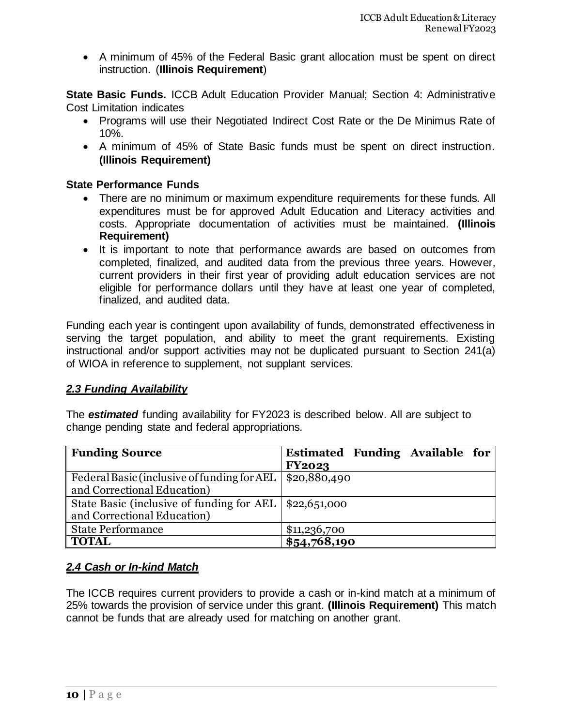• A minimum of 45% of the Federal Basic grant allocation must be spent on direct instruction. (**Illinois Requirement**)

**State Basic Funds.** ICCB Adult Education Provider Manual; Section 4: Administrative Cost Limitation indicates

- Programs will use their Negotiated Indirect Cost Rate or the De Minimus Rate of 10%.
- A minimum of 45% of State Basic funds must be spent on direct instruction. **(Illinois Requirement)**

## **State Performance Funds**

- There are no minimum or maximum expenditure requirements for these funds. All expenditures must be for approved Adult Education and Literacy activities and costs. Appropriate documentation of activities must be maintained. **(Illinois Requirement)**
- It is important to note that performance awards are based on outcomes from completed, finalized, and audited data from the previous three years. However, current providers in their first year of providing adult education services are not eligible for performance dollars until they have at least one year of completed, finalized, and audited data.

Funding each year is contingent upon availability of funds, demonstrated effectiveness in serving the target population, and ability to meet the grant requirements. Existing instructional and/or support activities may not be duplicated pursuant to Section 241(a) of WIOA in reference to supplement, not supplant services.

### *2.3 Funding Availability*

The *estimated* funding availability for FY2023 is described below. All are subject to change pending state and federal appropriations.

| <b>Funding Source</b>                                    | Estimated Funding Available for |
|----------------------------------------------------------|---------------------------------|
|                                                          | <b>FY2023</b>                   |
| Federal Basic (inclusive of funding for AEL              | \$20,880,490                    |
| and Correctional Education)                              |                                 |
| State Basic (inclusive of funding for AEL   \$22,651,000 |                                 |
| and Correctional Education)                              |                                 |
| <b>State Performance</b>                                 | \$11,236,700                    |
| <b>TOTAL</b>                                             | \$54,768,190                    |

# *2.4 Cash or In-kind Match*

The ICCB requires current providers to provide a cash or in-kind match at a minimum of 25% towards the provision of service under this grant. **(Illinois Requirement)** This match cannot be funds that are already used for matching on another grant.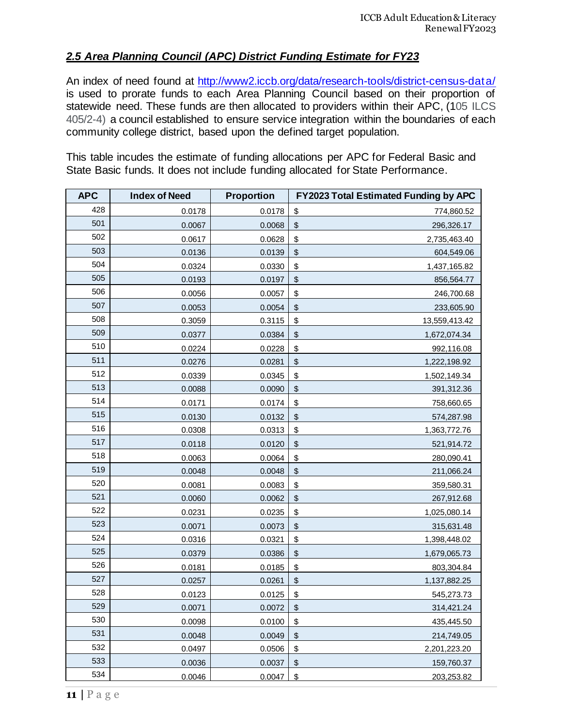# *2.5 Area Planning Council (APC) District Funding Estimate for FY23*

An index of need found at<http://www2.iccb.org/data/research-tools/district-census-data/> is used to prorate funds to each Area Planning Council based on their proportion of statewide need. These funds are then allocated to providers within their APC, (105 ILCS 405/2-4) a council established to ensure service integration within the boundaries of each community college district, based upon the defined target population.

This table incudes the estimate of funding allocations per APC for Federal Basic and State Basic funds. It does not include funding allocated for State Performance.

| <b>APC</b> | <b>Index of Need</b> | Proportion |               | <b>FY2023 Total Estimated Funding by APC</b> |
|------------|----------------------|------------|---------------|----------------------------------------------|
| 428        | 0.0178               | 0.0178     | $\frac{1}{2}$ | 774,860.52                                   |
| 501        | 0.0067               | 0.0068     | \$            | 296,326.17                                   |
| 502        | 0.0617               | 0.0628     | \$            | 2,735,463.40                                 |
| 503        | 0.0136               | 0.0139     | \$            | 604,549.06                                   |
| 504        | 0.0324               | 0.0330     | \$            | 1,437,165.82                                 |
| 505        | 0.0193               | 0.0197     | \$            | 856,564.77                                   |
| 506        | 0.0056               | 0.0057     | \$            | 246,700.68                                   |
| 507        | 0.0053               | 0.0054     | \$            | 233,605.90                                   |
| 508        | 0.3059               | 0.3115     | \$            | 13,559,413.42                                |
| 509        | 0.0377               | 0.0384     | \$            | 1,672,074.34                                 |
| 510        | 0.0224               | 0.0228     | \$            | 992,116.08                                   |
| 511        | 0.0276               | 0.0281     | \$            | 1,222,198.92                                 |
| 512        | 0.0339               | 0.0345     | \$            | 1,502,149.34                                 |
| 513        | 0.0088               | 0.0090     | \$            | 391,312.36                                   |
| 514        | 0.0171               | 0.0174     | \$            | 758,660.65                                   |
| 515        | 0.0130               | 0.0132     | \$            | 574,287.98                                   |
| 516        | 0.0308               | 0.0313     | \$            | 1,363,772.76                                 |
| 517        | 0.0118               | 0.0120     | \$            | 521,914.72                                   |
| 518        | 0.0063               | 0.0064     | \$            | 280,090.41                                   |
| 519        | 0.0048               | 0.0048     | \$            | 211,066.24                                   |
| 520        | 0.0081               | 0.0083     | \$            | 359,580.31                                   |
| 521        | 0.0060               | 0.0062     | \$            | 267,912.68                                   |
| 522        | 0.0231               | 0.0235     | \$            | 1,025,080.14                                 |
| 523        | 0.0071               | 0.0073     | \$            | 315,631.48                                   |
| 524        | 0.0316               | 0.0321     | \$            | 1,398,448.02                                 |
| 525        | 0.0379               | 0.0386     | \$            | 1,679,065.73                                 |
| 526        | 0.0181               | 0.0185     | \$            | 803,304.84                                   |
| 527        | 0.0257               | 0.0261     | \$            | 1,137,882.25                                 |
| 528        | 0.0123               | 0.0125     | \$            | 545,273.73                                   |
| 529        | 0.0071               | 0.0072     | \$            | 314,421.24                                   |
| 530        | 0.0098               | 0.0100     | \$            | 435,445.50                                   |
| 531        | 0.0048               | 0.0049     | \$            | 214,749.05                                   |
| 532        | 0.0497               | 0.0506     | \$            | 2,201,223.20                                 |
| 533        | 0.0036               | 0.0037     | \$            | 159,760.37                                   |
| 534        | 0.0046               | 0.0047     | \$            | 203,253.82                                   |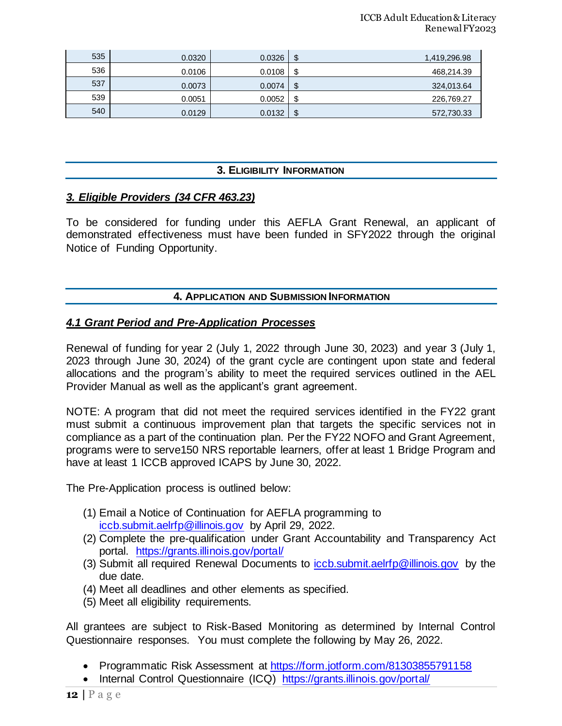| 535 | 0.0320 | 0.0326 | \$<br>1,419,296.98 |
|-----|--------|--------|--------------------|
| 536 | 0.0106 | 0.0108 | \$<br>468,214.39   |
| 537 | 0.0073 | 0.0074 | \$<br>324,013.64   |
| 539 | 0.0051 | 0.0052 | \$<br>226,769.27   |
| 540 | 0.0129 | 0.0132 | \$<br>572,730.33   |

## **3. ELIGIBILITY INFORMATION**

#### *3. Eligible Providers (34 CFR 463.23)*

To be considered for funding under this AEFLA Grant Renewal, an applicant of demonstrated effectiveness must have been funded in SFY2022 through the original Notice of Funding Opportunity.

#### **4. APPLICATION AND SUBMISSION INFORMATION**

#### *4.1 Grant Period and Pre-Application Processes*

Renewal of funding for year 2 (July 1, 2022 through June 30, 2023) and year 3 (July 1, 2023 through June 30, 2024) of the grant cycle are contingent upon state and federal allocations and the program's ability to meet the required services outlined in the AEL Provider Manual as well as the applicant's grant agreement.

NOTE: A program that did not meet the required services identified in the FY22 grant must submit a continuous improvement plan that targets the specific services not in compliance as a part of the continuation plan. Per the FY22 NOFO and Grant Agreement, programs were to serve150 NRS reportable learners, offer at least 1 Bridge Program and have at least 1 ICCB approved ICAPS by June 30, 2022.

The Pre-Application process is outlined below:

- (1) Email a Notice of Continuation for AEFLA programming to [iccb.submit.aelrfp@illinois.gov](mailto:iccb.submit.aelrfp@illinois.gov) by April 29, 2022.
- (2) Complete the pre-qualification under Grant Accountability and Transparency Act portal. <https://grants.illinois.gov/portal/>
- (3) Submit all required Renewal Documents to [iccb.submit.aelrfp@illinois.gov](mailto:iccb.submit.aelrfp@illinois.gov) by the due date.
- (4) Meet all deadlines and other elements as specified.
- (5) Meet all eligibility requirements.

All grantees are subject to Risk-Based Monitoring as determined by Internal Control Questionnaire responses. You must complete the following by May 26, 2022.

- Programmatic Risk Assessment at<https://form.jotform.com/81303855791158>
- Internal Control Questionnaire (ICQ) <https://grants.illinois.gov/portal/>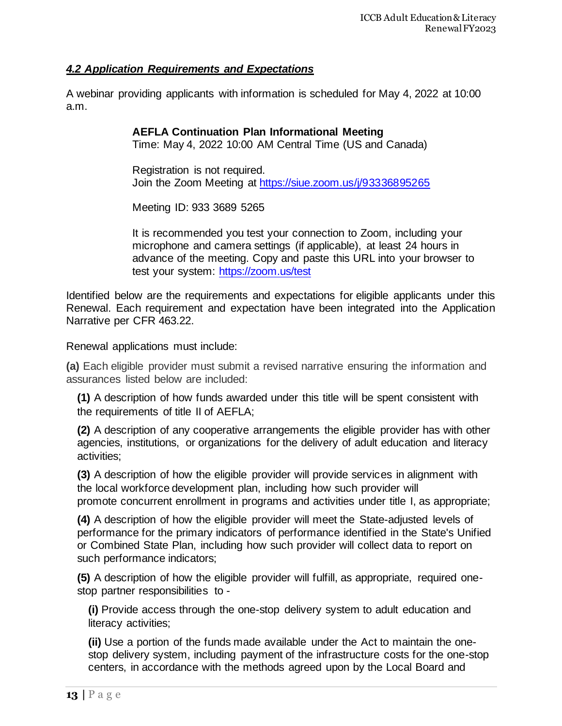# *4.2 Application Requirements and Expectations*

A webinar providing applicants with information is scheduled for May 4, 2022 at 10:00 a.m.

## **AEFLA Continuation Plan Informational Meeting**

Time: May 4, 2022 10:00 AM Central Time (US and Canada)

Registration is not required. Join the Zoom Meeting at <https://siue.zoom.us/j/93336895265>

Meeting ID: 933 3689 5265

It is recommended you test your connection to Zoom, including your microphone and camera settings (if applicable), at least 24 hours in advance of the meeting. Copy and paste this URL into your browser to test your system:<https://zoom.us/test>

Identified below are the requirements and expectations for eligible applicants under this Renewal. Each requirement and expectation have been integrated into the Application Narrative per CFR 463.22.

Renewal applications must include:

**(a)** Each eligible provider must submit a revised narrative ensuring the information and assurances listed below are included:

**(1)** A description of how funds awarded under this [title](https://www.law.cornell.edu/definitions/index.php?width=840&height=800&iframe=true&def_id=7f038da55a9599090c514cb48c8ece4b&term_occur=999&term_src=Title:34:Subtitle:B:Chapter:IV:Part:463:Subpart:C:463.22) will be spent consistent with the requirements of [title](https://www.law.cornell.edu/definitions/index.php?width=840&height=800&iframe=true&def_id=7f038da55a9599090c514cb48c8ece4b&term_occur=999&term_src=Title:34:Subtitle:B:Chapter:IV:Part:463:Subpart:C:463.22) II of AEFLA;

**(2)** A description of any cooperative arrangements the eligible provider has with other agencies, institutions, or organizations for the delivery of adult education and literacy activities;

**(3)** A description of how the eligible provider will provide services in alignment with the local workforce development plan, including how such provider will promote [concurrent enrollment](https://www.law.cornell.edu/definitions/index.php?width=840&height=800&iframe=true&def_id=649fa695d377467f4ff49e30a22b6fcf&term_occur=999&term_src=Title:34:Subtitle:B:Chapter:IV:Part:463:Subpart:C:463.22) in programs and activities under [title](https://www.law.cornell.edu/definitions/index.php?width=840&height=800&iframe=true&def_id=7f038da55a9599090c514cb48c8ece4b&term_occur=999&term_src=Title:34:Subtitle:B:Chapter:IV:Part:463:Subpart:C:463.22) I, as appropriate;

**(4)** A description of how the eligible provider will meet the [State-](https://www.law.cornell.edu/definitions/index.php?width=840&height=800&iframe=true&def_id=ab08a84ec695c60b0e66ecc4d0f3096d&term_occur=999&term_src=Title:34:Subtitle:B:Chapter:IV:Part:463:Subpart:C:463.22)adjusted levels of performance for the primary indicators of performance identified in the [State'](https://www.law.cornell.edu/definitions/index.php?width=840&height=800&iframe=true&def_id=ab08a84ec695c60b0e66ecc4d0f3096d&term_occur=999&term_src=Title:34:Subtitle:B:Chapter:IV:Part:463:Subpart:C:463.22)s Unified or Combined [State](https://www.law.cornell.edu/definitions/index.php?width=840&height=800&iframe=true&def_id=ab08a84ec695c60b0e66ecc4d0f3096d&term_occur=999&term_src=Title:34:Subtitle:B:Chapter:IV:Part:463:Subpart:C:463.22) Plan, including how such provider will collect data to report on such performance indicators;

**(5)** A description of how the eligible provider will fulfill, as appropriate, required onestop partner responsibilities to -

**(i)** Provide access through the one-stop delivery system to adult education and literacy activities;

**(ii)** Use a portion of the funds made available under the [Act](https://www.law.cornell.edu/definitions/index.php?width=840&height=800&iframe=true&def_id=6af5c03156abdeca3e8459fb8a369c57&term_occur=999&term_src=Title:34:Subtitle:B:Chapter:IV:Part:463:Subpart:C:463.22) to maintain the onestop delivery system, including payment of the infrastructure costs for the one-stop centers, in accordance with the methods agreed upon by the Local Board and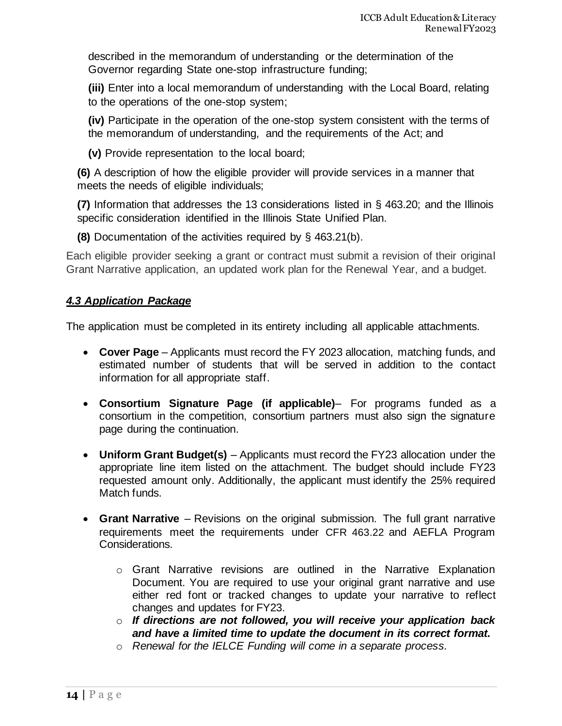described in the memorandum of understanding or the determination of the Governor regarding [State](https://www.law.cornell.edu/definitions/index.php?width=840&height=800&iframe=true&def_id=ab08a84ec695c60b0e66ecc4d0f3096d&term_occur=999&term_src=Title:34:Subtitle:B:Chapter:IV:Part:463:Subpart:C:463.22) one-stop infrastructure funding;

**(iii)** Enter into a local memorandum of understanding with the Local Board, relating to the operations of the one-stop system;

**(iv)** Participate in the operation of the one-stop system consistent with the terms of the memorandum of understanding, and the requirements of the [Act;](https://www.law.cornell.edu/definitions/index.php?width=840&height=800&iframe=true&def_id=6af5c03156abdeca3e8459fb8a369c57&term_occur=999&term_src=Title:34:Subtitle:B:Chapter:IV:Part:463:Subpart:C:463.22) and

**(v)** Provide representation to the local board;

**(6)** A description of how the eligible provider will provide services in a manner that meets the needs of eligible individuals;

**(7)** Information that addresses the 13 considerations listed in [§ 463.20;](https://www.law.cornell.edu/cfr/text/34/463.20) and the Illinois specific consideration identified in the Illinois State Unified Plan.

**(8)** Documentation of the activities required by [§ 463.21\(b\).](https://www.law.cornell.edu/cfr/text/34/463.21#b)

Each eligible provider seeking a grant or contract must submit a revision of their original Grant Narrative application, an updated work plan for the Renewal Year, and a budget.

# *4.3 Application Package*

The application must be completed in its entirety including all applicable attachments.

- **Cover Page** Applicants must record the FY 2023 allocation, matching funds, and estimated number of students that will be served in addition to the contact information for all appropriate staff.
- **Consortium Signature Page (if applicable)** For programs funded as a consortium in the competition, consortium partners must also sign the signature page during the continuation.
- **Uniform Grant Budget(s)** Applicants must record the FY23 allocation under the appropriate line item listed on the attachment. The budget should include FY23 requested amount only. Additionally, the applicant must identify the 25% required Match funds.
- **Grant Narrative** Revisions on the original submission. The full grant narrative requirements meet the requirements under CFR 463.22 and AEFLA Program Considerations.
	- o Grant Narrative revisions are outlined in the Narrative Explanation Document. You are required to use your original grant narrative and use either red font or tracked changes to update your narrative to reflect changes and updates for FY23.
	- o *If directions are not followed, you will receive your application back and have a limited time to update the document in its correct format.*
	- o *Renewal for the IELCE Funding will come in a separate process.*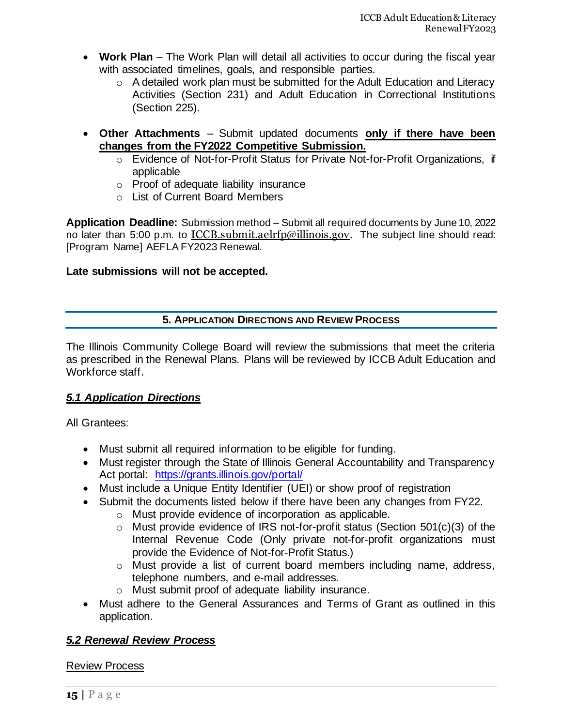- **Work Plan** The Work Plan will detail all activities to occur during the fiscal year with associated timelines, goals, and responsible parties.
	- o A detailed work plan must be submitted for the Adult Education and Literacy Activities (Section 231) and Adult Education in Correctional Institutions (Section 225).
- **Other Attachments** Submit updated documents **only if there have been changes from the FY2022 Competitive Submission.** 
	- o Evidence of Not-for-Profit Status for Private Not-for-Profit Organizations, if applicable
	- o Proof of adequate liability insurance
	- o List of Current Board Members

**Application Deadline:** Submission method – Submit all required documents by June 10, 2022 no later than 5:00 p.m. to [ICCB.submit.aelrfp@illinois.gov.](mailto:ICCB.submit.aelrfp@illinois.gov) The subject line should read: [Program Name] AEFLA FY2023 Renewal.

## **Late submissions will not be accepted.**

# **5. APPLICATION DIRECTIONS AND REVIEW PROCESS**

The Illinois Community College Board will review the submissions that meet the criteria as prescribed in the Renewal Plans. Plans will be reviewed by ICCB Adult Education and Workforce staff.

# *5.1 Application Directions*

All Grantees:

- Must submit all required information to be eligible for funding.
- Must register through the State of Illinois General Accountability and Transparency Act portal: <https://grants.illinois.gov/portal/>
- Must include a Unique Entity Identifier (UEI) or show proof of registration
- Submit the documents listed below if there have been any changes from FY22.
	- o Must provide evidence of incorporation as applicable.
	- o Must provide evidence of IRS not-for-profit status (Section 501(c)(3) of the Internal Revenue Code (Only private not-for-profit organizations must provide the Evidence of Not-for-Profit Status.)
	- o Must provide a list of current board members including name, address, telephone numbers, and e-mail addresses.
	- o Must submit proof of adequate liability insurance.
- Must adhere to the General Assurances and Terms of Grant as outlined in this application.

# *5.2 Renewal Review Process*

Review Process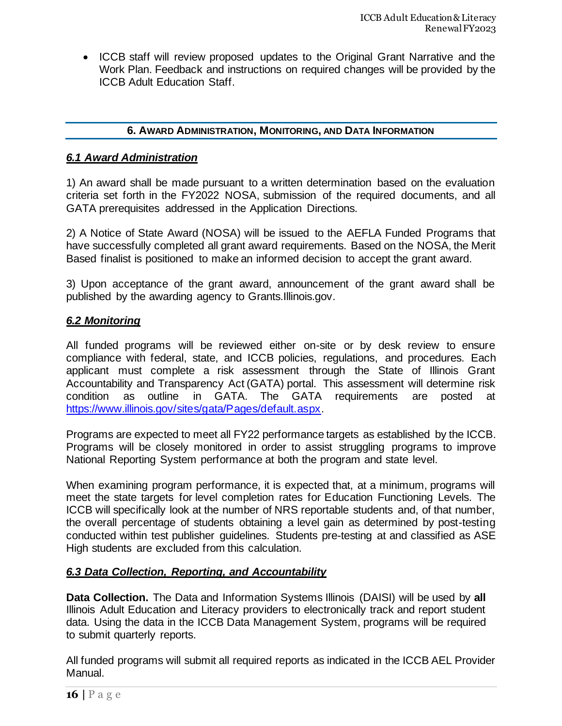• ICCB staff will review proposed updates to the Original Grant Narrative and the Work Plan. Feedback and instructions on required changes will be provided by the ICCB Adult Education Staff.

#### **6. AWARD ADMINISTRATION, MONITORING, AND DATA INFORMATION**

#### *6.1 Award Administration*

1) An award shall be made pursuant to a written determination based on the evaluation criteria set forth in the FY2022 NOSA, submission of the required documents, and all GATA prerequisites addressed in the Application Directions.

2) A Notice of State Award (NOSA) will be issued to the AEFLA Funded Programs that have successfully completed all grant award requirements. Based on the NOSA, the Merit Based finalist is positioned to make an informed decision to accept the grant award.

3) Upon acceptance of the grant award, announcement of the grant award shall be published by the awarding agency to Grants.Illinois.gov.

### *6.2 Monitoring*

All funded programs will be reviewed either on-site or by desk review to ensure compliance with federal, state, and ICCB policies, regulations, and procedures. Each applicant must complete a risk assessment through the State of Illinois Grant Accountability and Transparency Act (GATA) portal. This assessment will determine risk condition as outline in GATA. The GATA requirements are posted at [https://www.illinois.gov/sites/gata/Pages/default.aspx.](https://www.illinois.gov/sites/gata/Pages/default.aspx) 

Programs are expected to meet all FY22 performance targets as established by the ICCB. Programs will be closely monitored in order to assist struggling programs to improve National Reporting System performance at both the program and state level.

When examining program performance, it is expected that, at a minimum, programs will meet the state targets for level completion rates for Education Functioning Levels. The ICCB will specifically look at the number of NRS reportable students and, of that number, the overall percentage of students obtaining a level gain as determined by post-testing conducted within test publisher guidelines. Students pre-testing at and classified as ASE High students are excluded from this calculation.

### *6.3 Data Collection, Reporting, and Accountability*

**Data Collection.** The Data and Information Systems Illinois (DAISI) will be used by **all** Illinois Adult Education and Literacy providers to electronically track and report student data. Using the data in the ICCB Data Management System, programs will be required to submit quarterly reports.

All funded programs will submit all required reports as indicated in the ICCB AEL Provider Manual.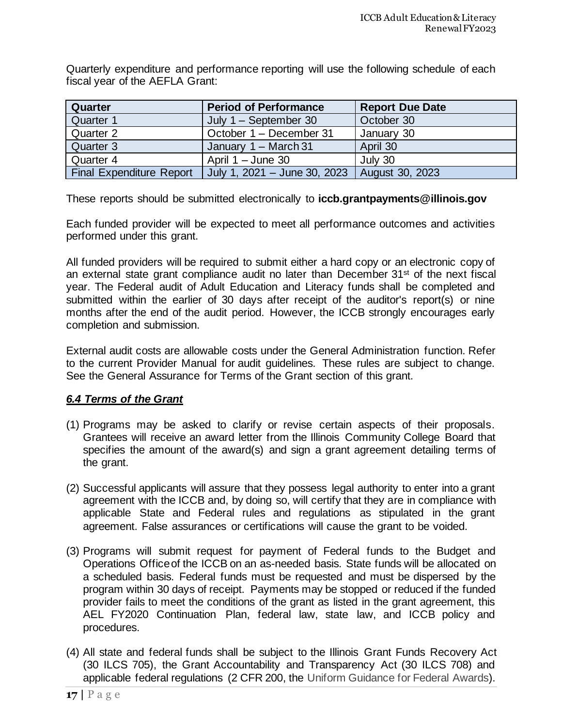Quarterly expenditure and performance reporting will use the following schedule of each fiscal year of the AEFLA Grant:

| Quarter                  | <b>Period of Performance</b>     | <b>Report Due Date</b> |
|--------------------------|----------------------------------|------------------------|
| Quarter 1                | July $1 -$ September 30          | October 30             |
| Quarter 2                | October 1 – December 31          | January 30             |
| Quarter 3                | January 1 - March 31             | April 30               |
| Quarter 4                | April $1 -$ June 30              | July 30                |
| Final Expenditure Report | July 1, $2021 -$ June 30, $2023$ | August 30, 2023        |

These reports should be submitted electronically to **iccb.grantpayments@illinois.gov**

Each funded provider will be expected to meet all performance outcomes and activities performed under this grant.

All funded providers will be required to submit either a hard copy or an electronic copy of an external state grant compliance audit no later than December 31st of the next fiscal year. The Federal audit of Adult Education and Literacy funds shall be completed and submitted within the earlier of 30 days after receipt of the auditor's report(s) or nine months after the end of the audit period. However, the ICCB strongly encourages early completion and submission.

External audit costs are allowable costs under the General Administration function. Refer to the current Provider Manual for audit guidelines. These rules are subject to change. See the General Assurance for Terms of the Grant section of this grant.

### *6.4 Terms of the Grant*

- (1) Programs may be asked to clarify or revise certain aspects of their proposals. Grantees will receive an award letter from the Illinois Community College Board that specifies the amount of the award(s) and sign a grant agreement detailing terms of the grant.
- (2) Successful applicants will assure that they possess legal authority to enter into a grant agreement with the ICCB and, by doing so, will certify that they are in compliance with applicable State and Federal rules and regulations as stipulated in the grant agreement. False assurances or certifications will cause the grant to be voided.
- (3) Programs will submit request for payment of Federal funds to the Budget and Operations Office of the ICCB on an as-needed basis. State funds will be allocated on a scheduled basis. Federal funds must be requested and must be dispersed by the program within 30 days of receipt. Payments may be stopped or reduced if the funded provider fails to meet the conditions of the grant as listed in the grant agreement, this AEL FY2020 Continuation Plan, federal law, state law, and ICCB policy and procedures.
- (4) All state and federal funds shall be subject to the Illinois Grant Funds Recovery Act (30 ILCS 705), the Grant Accountability and Transparency Act (30 ILCS 708) and applicable federal regulations (2 CFR 200, the Uniform Guidance for Federal Awards).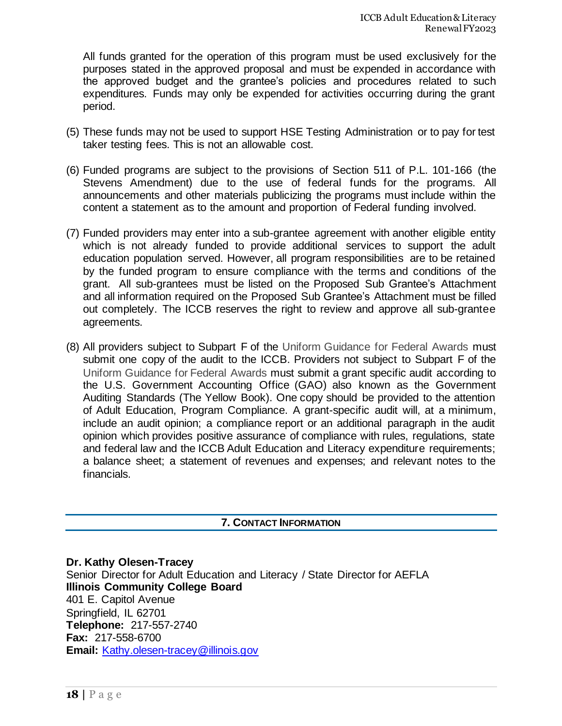All funds granted for the operation of this program must be used exclusively for the purposes stated in the approved proposal and must be expended in accordance with the approved budget and the grantee's policies and procedures related to such expenditures. Funds may only be expended for activities occurring during the grant period.

- (5) These funds may not be used to support HSE Testing Administration or to pay for test taker testing fees. This is not an allowable cost.
- (6) Funded programs are subject to the provisions of Section 511 of P.L. 101-166 (the Stevens Amendment) due to the use of federal funds for the programs. All announcements and other materials publicizing the programs must include within the content a statement as to the amount and proportion of Federal funding involved.
- (7) Funded providers may enter into a sub-grantee agreement with another eligible entity which is not already funded to provide additional services to support the adult education population served. However, all program responsibilities are to be retained by the funded program to ensure compliance with the terms and conditions of the grant. All sub-grantees must be listed on the Proposed Sub Grantee's Attachment and all information required on the Proposed Sub Grantee's Attachment must be filled out completely. The ICCB reserves the right to review and approve all sub-grantee agreements.
- (8) All providers subject to Subpart F of the Uniform Guidance for Federal Awards must submit one copy of the audit to the ICCB. Providers not subject to Subpart F of the Uniform Guidance for Federal Awards must submit a grant specific audit according to the U.S. Government Accounting Office (GAO) also known as the Government Auditing Standards (The Yellow Book). One copy should be provided to the attention of Adult Education, Program Compliance. A grant-specific audit will, at a minimum, include an audit opinion; a compliance report or an additional paragraph in the audit opinion which provides positive assurance of compliance with rules, regulations, state and federal law and the ICCB Adult Education and Literacy expenditure requirements; a balance sheet; a statement of revenues and expenses; and relevant notes to the financials.

### **7. CONTACT INFORMATION**

**Dr. Kathy Olesen-Tracey** Senior Director for Adult Education and Literacy / State Director for AEFLA **Illinois Community College Board** 401 E. Capitol Avenue Springfield, IL 62701 **Telephone:** 217-557-2740 **Fax:** 217-558-6700 **Email:** [Kathy.olesen-tracey@illinois.gov](mailto:Kathy.olesen-tracey@illinois.gov)